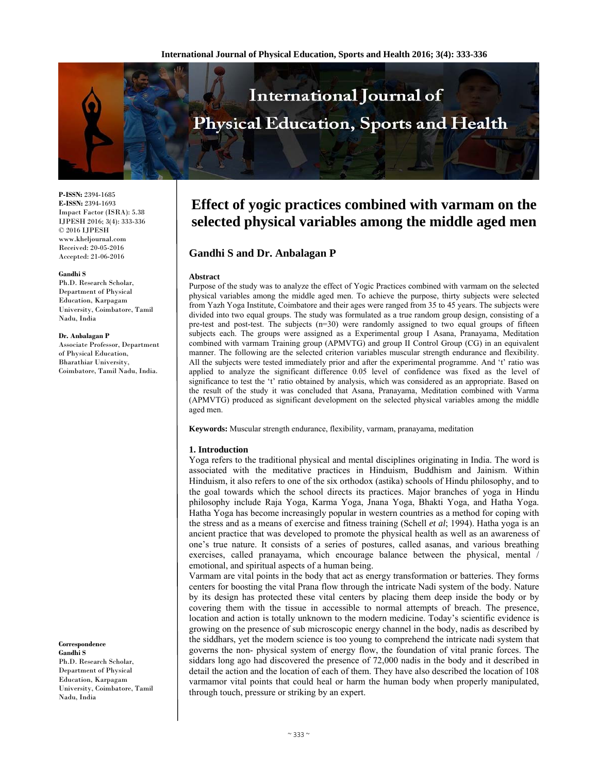

**P-ISSN:** 2394-1685 **E-ISSN:** 2394-1693 Impact Factor (ISRA): 5.38 IJPESH 2016; 3(4): 333-336 © 2016 IJPESH www.kheljournal.com Received: 20-05-2016 Accepted: 21-06-2016

#### **Gandhi S**

Ph.D. Research Scholar, Department of Physical Education, Karpagam University, Coimbatore, Tamil Nadu, India

#### **Dr. Anbalagan P**

Associate Professor, Department of Physical Education, Bharathiar University, Coimbatore, Tamil Nadu, India.

**Correspondence Gandhi S** 

Ph.D. Research Scholar, Department of Physical Education, Karpagam University, Coimbatore, Tamil Nadu, India

# **Effect of yogic practices combined with varmam on the selected physical variables among the middle aged men**

# **Gandhi S and Dr. Anbalagan P**

#### **Abstract**

Purpose of the study was to analyze the effect of Yogic Practices combined with varmam on the selected physical variables among the middle aged men. To achieve the purpose, thirty subjects were selected from Yazh Yoga Institute, Coimbatore and their ages were ranged from 35 to 45 years. The subjects were divided into two equal groups. The study was formulated as a true random group design, consisting of a pre-test and post-test. The subjects  $(n=30)$  were randomly assigned to two equal groups of fifteen subjects each. The groups were assigned as a Experimental group I Asana, Pranayama, Meditation combined with varmam Training group (APMVTG) and group II Control Group (CG) in an equivalent manner. The following are the selected criterion variables muscular strength endurance and flexibility. All the subjects were tested immediately prior and after the experimental programme. And 't' ratio was applied to analyze the significant difference 0.05 level of confidence was fixed as the level of significance to test the 't' ratio obtained by analysis, which was considered as an appropriate. Based on the result of the study it was concluded that Asana, Pranayama, Meditation combined with Varma (APMVTG) produced as significant development on the selected physical variables among the middle aged men.

**Keywords:** Muscular strength endurance, flexibility, varmam, pranayama, meditation

#### **1. Introduction**

Yoga refers to the traditional physical and mental disciplines originating in India. The word is associated with the meditative practices in Hinduism, Buddhism and Jainism. Within Hinduism, it also refers to one of the six orthodox (astika) schools of Hindu philosophy, and to the goal towards which the school directs its practices. Major branches of yoga in Hindu philosophy include Raja Yoga, Karma Yoga, Jnana Yoga, Bhakti Yoga, and Hatha Yoga. Hatha Yoga has become increasingly popular in western countries as a method for coping with the stress and as a means of exercise and fitness training (Schell *et al*; 1994). Hatha yoga is an ancient practice that was developed to promote the physical health as well as an awareness of one's true nature. It consists of a series of postures, called asanas, and various breathing exercises, called pranayama, which encourage balance between the physical, mental emotional, and spiritual aspects of a human being.

Varmam are vital points in the body that act as energy transformation or batteries. They forms centers for boosting the vital Prana flow through the intricate Nadi system of the body. Nature by its design has protected these vital centers by placing them deep inside the body or by covering them with the tissue in accessible to normal attempts of breach. The presence, location and action is totally unknown to the modern medicine. Today's scientific evidence is growing on the presence of sub microscopic energy channel in the body, nadis as described by the siddhars, yet the modern science is too young to comprehend the intricate nadi system that governs the non- physical system of energy flow, the foundation of vital pranic forces. The siddars long ago had discovered the presence of 72,000 nadis in the body and it described in detail the action and the location of each of them. They have also described the location of 108 varmamor vital points that could heal or harm the human body when properly manipulated, through touch, pressure or striking by an expert.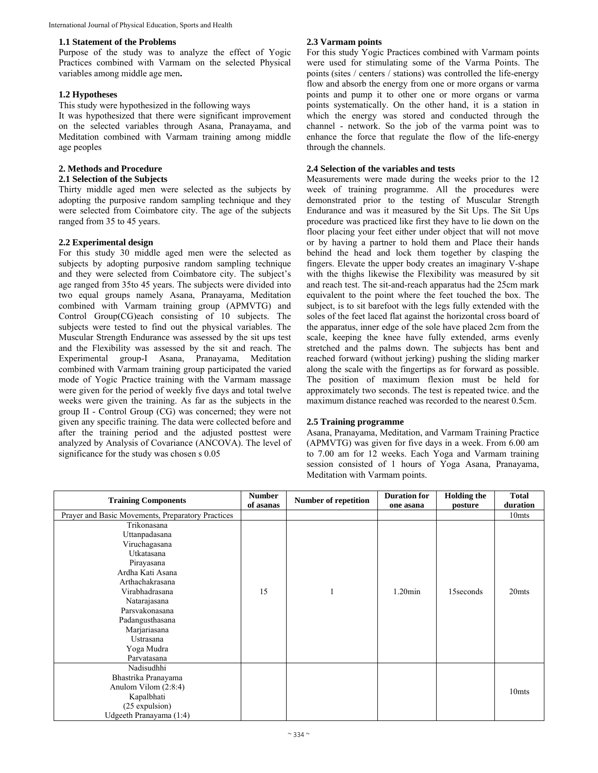## **1.1 Statement of the Problems**

Purpose of the study was to analyze the effect of Yogic Practices combined with Varmam on the selected Physical variables among middle age men**.** 

## **1.2 Hypotheses**

This study were hypothesized in the following ways

It was hypothesized that there were significant improvement on the selected variables through Asana, Pranayama, and Meditation combined with Varmam training among middle age peoples

#### **2. Methods and Procedure 2.1 Selection of the Subjects**

Thirty middle aged men were selected as the subjects by adopting the purposive random sampling technique and they were selected from Coimbatore city. The age of the subjects ranged from 35 to 45 years.

# **2.2 Experimental design**

For this study 30 middle aged men were the selected as subjects by adopting purposive random sampling technique and they were selected from Coimbatore city. The subject's age ranged from 35to 45 years. The subjects were divided into two equal groups namely Asana, Pranayama, Meditation combined with Varmam training group (APMVTG) and Control Group(CG)each consisting of 10 subjects. The subjects were tested to find out the physical variables. The Muscular Strength Endurance was assessed by the sit ups test and the Flexibility was assessed by the sit and reach. The Experimental group-I Asana, Pranayama, Meditation combined with Varmam training group participated the varied mode of Yogic Practice training with the Varmam massage were given for the period of weekly five days and total twelve weeks were given the training. As far as the subjects in the group II - Control Group (CG) was concerned; they were not given any specific training. The data were collected before and after the training period and the adjusted posttest were analyzed by Analysis of Covariance (ANCOVA). The level of significance for the study was chosen s 0.05

# **2.3 Varmam points**

For this study Yogic Practices combined with Varmam points were used for stimulating some of the Varma Points. The points (sites / centers / stations) was controlled the life-energy flow and absorb the energy from one or more organs or varma points and pump it to other one or more organs or varma points systematically. On the other hand, it is a station in which the energy was stored and conducted through the channel - network. So the job of the varma point was to enhance the force that regulate the flow of the life-energy through the channels.

# **2.4 Selection of the variables and tests**

Measurements were made during the weeks prior to the 12 week of training programme. All the procedures were demonstrated prior to the testing of Muscular Strength Endurance and was it measured by the Sit Ups. The Sit Ups procedure was practiced like first they have to lie down on the floor placing your feet either under object that will not move or by having a partner to hold them and Place their hands behind the head and lock them together by clasping the fingers. Elevate the upper body creates an imaginary V-shape with the thighs likewise the Flexibility was measured by sit and reach test. The sit-and-reach apparatus had the 25cm mark equivalent to the point where the feet touched the box. The subject, is to sit barefoot with the legs fully extended with the soles of the feet laced flat against the horizontal cross board of the apparatus, inner edge of the sole have placed 2cm from the scale, keeping the knee have fully extended, arms evenly stretched and the palms down. The subjects has bent and reached forward (without jerking) pushing the sliding marker along the scale with the fingertips as for forward as possible. The position of maximum flexion must be held for approximately two seconds. The test is repeated twice. and the maximum distance reached was recorded to the nearest 0.5cm.

## **2.5 Training programme**

Asana, Pranayama, Meditation, and Varmam Training Practice (APMVTG) was given for five days in a week. From 6.00 am to 7.00 am for 12 weeks. Each Yoga and Varmam training session consisted of 1 hours of Yoga Asana, Pranayama, Meditation with Varmam points.

| <b>Training Components</b>                        | <b>Number</b><br><b>Number of repetition</b> |  | <b>Duration for</b> | <b>Holding the</b> | <b>Total</b>      |
|---------------------------------------------------|----------------------------------------------|--|---------------------|--------------------|-------------------|
|                                                   | of asanas                                    |  | one asana           | posture            | duration          |
| Prayer and Basic Movements, Preparatory Practices |                                              |  |                     |                    | 10 <sub>mts</sub> |
| Trikonasana                                       |                                              |  |                     |                    |                   |
| Uttanpadasana                                     |                                              |  |                     |                    |                   |
| Viruchagasana                                     |                                              |  |                     |                    |                   |
| Utkatasana                                        |                                              |  |                     |                    |                   |
| Pirayasana                                        |                                              |  |                     |                    |                   |
| Ardha Kati Asana                                  |                                              |  |                     |                    |                   |
| Arthachakrasana                                   |                                              |  |                     |                    |                   |
| Virabhadrasana                                    | 15                                           |  | $1.20$ min          | 15 seconds         | 20mts             |
| Natarajasana                                      |                                              |  |                     |                    |                   |
| Parsvakonasana                                    |                                              |  |                     |                    |                   |
| Padangusthasana                                   |                                              |  |                     |                    |                   |
| Marjariasana                                      |                                              |  |                     |                    |                   |
| Ustrasana                                         |                                              |  |                     |                    |                   |
| Yoga Mudra                                        |                                              |  |                     |                    |                   |
| Parvatasana                                       |                                              |  |                     |                    |                   |
| Nadisudhhi                                        |                                              |  |                     |                    |                   |
| Bhastrika Pranayama                               |                                              |  |                     |                    |                   |
| Anulom Vilom (2:8:4)                              |                                              |  |                     |                    |                   |
| Kapalbhati                                        |                                              |  |                     |                    | 10 <sub>mts</sub> |
| (25 expulsion)                                    |                                              |  |                     |                    |                   |
| Udgeeth Pranayama (1:4)                           |                                              |  |                     |                    |                   |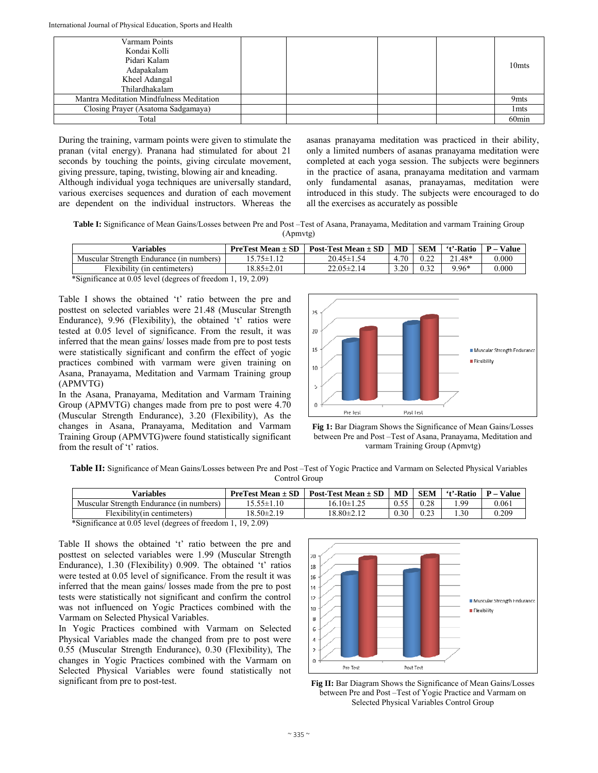| Varmam Points                            |  |  |                   |
|------------------------------------------|--|--|-------------------|
| Kondai Kolli                             |  |  |                   |
| Pidari Kalam                             |  |  | 10 <sub>mts</sub> |
| Adapakalam                               |  |  |                   |
| Kheel Adangal                            |  |  |                   |
| Thilardhakalam                           |  |  |                   |
| Mantra Meditation Mindfulness Meditation |  |  | 9 <sub>mts</sub>  |
| Closing Prayer (Asatoma Sadgamaya)       |  |  | 1 <sub>mts</sub>  |
| Total                                    |  |  | 60 <sub>min</sub> |

During the training, varmam points were given to stimulate the pranan (vital energy). Pranana had stimulated for about 21 seconds by touching the points, giving circulate movement, giving pressure, taping, twisting, blowing air and kneading. Although individual yoga techniques are universally standard, various exercises sequences and duration of each movement are dependent on the individual instructors. Whereas the

asanas pranayama meditation was practiced in their ability, only a limited numbers of asanas pranayama meditation were completed at each yoga session. The subjects were beginners in the practice of asana, pranayama meditation and varmam only fundamental asanas, pranayamas, meditation were introduced in this study. The subjects were encouraged to do all the exercises as accurately as possible

**Table I:** Significance of Mean Gains/Losses between Pre and Post –Test of Asana, Pranayama, Meditation and varmam Training Group (Apmvtg)

| Variables                                | <b>PreTest Mean <math>\pm</math> SD</b> | Post-Test Mean $\pm$ SD | <b>MD</b> | <b>SEM</b> | 't'-Ratio | <b>Value</b> |
|------------------------------------------|-----------------------------------------|-------------------------|-----------|------------|-----------|--------------|
| Muscular Strength Endurance (in numbers) | $5.75 \pm 1.12$                         | $20.45 \pm 1.54$        | 4.70      |            | 21.48*    | 0.000        |
| Flexibility (in centimeters)             | 18.85±2.01                              | 22.05±2.14              | 3.20      | 0.32       | 9.96*     | 0.000        |

\*Significance at 0.05 level (degrees of freedom 1, 19, 2.09)

Table I shows the obtained 't' ratio between the pre and posttest on selected variables were 21.48 (Muscular Strength Endurance), 9.96 (Flexibility), the obtained 't' ratios were tested at 0.05 level of significance. From the result, it was inferred that the mean gains/ losses made from pre to post tests were statistically significant and confirm the effect of yogic practices combined with varmam were given training on Asana, Pranayama, Meditation and Varmam Training group (APMVTG)

In the Asana, Pranayama, Meditation and Varmam Training Group (APMVTG) changes made from pre to post were 4.70 (Muscular Strength Endurance), 3.20 (Flexibility), As the changes in Asana, Pranayama, Meditation and Varmam Training Group (APMVTG)were found statistically significant from the result of 't' ratios.





**Table II:** Significance of Mean Gains/Losses between Pre and Post –Test of Yogic Practice and Varmam on Selected Physical Variables Control Group

| <b>Variables</b>                         | <b>PreTest Mean <math>\pm</math> SD</b> | Post-Test Mean $\pm$ SD | MD   | <b>SEM</b>            | 't'-Ratio | <b>Value</b><br>D. |
|------------------------------------------|-----------------------------------------|-------------------------|------|-----------------------|-----------|--------------------|
| Muscular Strength Endurance (in numbers) | .5.55±1.10                              | $16.10 \pm 1.25$        |      | 0.28                  | . 99      | 0.061              |
| Flexibility(in centimeters)              | $18.50 \pm 2.19$                        | 18.80±2.12              | 0.30 | $\sim$ $\sim$<br>U.ZJ | .30       | 0.209              |

\*Significance at 0.05 level (degrees of freedom 1, 19, 2.09)

Table II shows the obtained 't' ratio between the pre and posttest on selected variables were 1.99 (Muscular Strength Endurance), 1.30 (Flexibility) 0.909. The obtained 't' ratios were tested at 0.05 level of significance. From the result it was inferred that the mean gains/ losses made from the pre to post tests were statistically not significant and confirm the control was not influenced on Yogic Practices combined with the Varmam on Selected Physical Variables.

In Yogic Practices combined with Varmam on Selected Physical Variables made the changed from pre to post were 0.55 (Muscular Strength Endurance), 0.30 (Flexibility), The changes in Yogic Practices combined with the Varmam on Selected Physical Variables were found statistically not significant from pre to post-test. **Fig II:** Bar Diagram Shows the Significance of Mean Gains/Losses